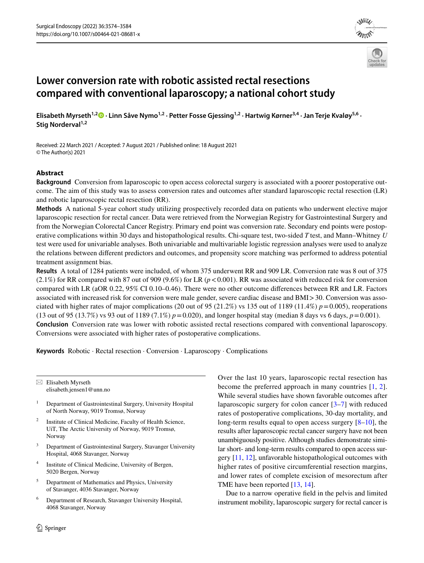



# **Lower conversion rate with robotic assisted rectal resections compared with conventional laparoscopy; a national cohort study**

**Elisabeth Myrseth1,2 · Linn Såve Nymo1,2 · Petter Fosse Gjessing1,2 · Hartwig Kørner3,4 · Jan Terje Kvaløy5,6 ·**  Stig Norderval<sup>1,2</sup>

Received: 22 March 2021 / Accepted: 7 August 2021 / Published online: 18 August 2021 © The Author(s) 2021

# **Abstract**

**Background** Conversion from laparoscopic to open access colorectal surgery is associated with a poorer postoperative outcome. The aim of this study was to assess conversion rates and outcomes after standard laparoscopic rectal resection (LR) and robotic laparoscopic rectal resection (RR).

**Methods** A national 5-year cohort study utilizing prospectively recorded data on patients who underwent elective major laparoscopic resection for rectal cancer. Data were retrieved from the Norwegian Registry for Gastrointestinal Surgery and from the Norwegian Colorectal Cancer Registry. Primary end point was conversion rate. Secondary end points were postoperative complications within 30 days and histopathological results. Chi-square test, two-sided *T* test, and Mann–Whitney *U* test were used for univariable analyses. Both univariable and multivariable logistic regression analyses were used to analyze the relations between diferent predictors and outcomes, and propensity score matching was performed to address potential treatment assignment bias.

**Results** A total of 1284 patients were included, of whom 375 underwent RR and 909 LR. Conversion rate was 8 out of 375  $(2.1\%)$  for RR compared with 87 out of 909 (9.6%) for LR ( $p < 0.001$ ). RR was associated with reduced risk for conversion compared with LR (aOR 0.22, 95% CI 0.10–0.46). There were no other outcome diferences between RR and LR. Factors associated with increased risk for conversion were male gender, severe cardiac disease and BMI>30. Conversion was associated with higher rates of major complications (20 out of 95 (21.2%) vs 135 out of 1189 (11.4%)  $p = 0.005$ ), reoperations (13 out of 95 (13.7%) vs 93 out of 1189 (7.1%)  $p = 0.020$ ), and longer hospital stay (median 8 days vs 6 days,  $p = 0.001$ ). **Conclusion** Conversion rate was lower with robotic assisted rectal resections compared with conventional laparoscopy. Conversions were associated with higher rates of postoperative complications.

**Keywords** Robotic · Rectal resection · Conversion · Laparoscopy · Complications

 $\boxtimes$  Elisabeth Myrseth elisabeth.jensen1@unn.no

- <sup>1</sup> Department of Gastrointestinal Surgery, University Hospital of North Norway, 9019 Tromsø, Norway
- <sup>2</sup> Institute of Clinical Medicine, Faculty of Health Science, UiT, The Arctic University of Norway, 9019 Tromsø, Norway
- <sup>3</sup> Department of Gastrointestinal Surgery, Stavanger University Hospital, 4068 Stavanger, Norway
- <sup>4</sup> Institute of Clinical Medicine, University of Bergen, 5020 Bergen, Norway
- <sup>5</sup> Department of Mathematics and Physics, University of Stavanger, 4036 Stavanger, Norway
- <sup>6</sup> Department of Research, Stavanger University Hospital, 4068 Stavanger, Norway

Over the last 10 years, laparoscopic rectal resection has become the preferred approach in many countries [[1](#page-8-0), [2](#page-8-1)]. While several studies have shown favorable outcomes after laparoscopic surgery for colon cancer [[3–](#page-8-2)[7](#page-9-0)] with reduced rates of postoperative complications, 30-day mortality, and long-term results equal to open access surgery [[8–](#page-9-1)[10\]](#page-9-2), the results after laparoscopic rectal cancer surgery have not been unambiguously positive. Although studies demonstrate similar short- and long-term results compared to open access surgery [[11,](#page-9-3) [12](#page-9-4)], unfavorable histopathological outcomes with higher rates of positive circumferential resection margins, and lower rates of complete excision of mesorectum after TME have been reported [[13](#page-9-5), [14](#page-9-6)].

Due to a narrow operative feld in the pelvis and limited instrument mobility, laparoscopic surgery for rectal cancer is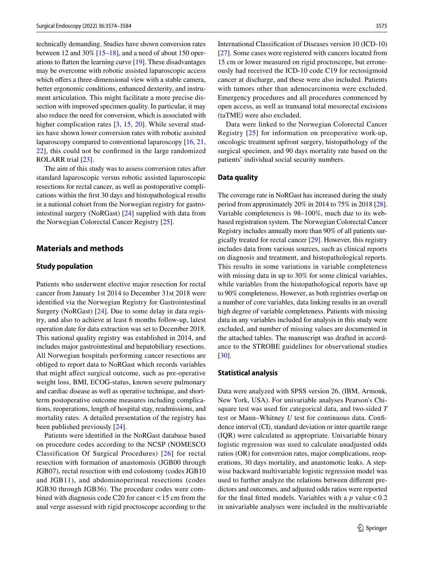technically demanding. Studies have shown conversion rates between 12 and 30% [\[15](#page-9-7)[–18](#page-9-8)], and a need of about 150 operations to fatten the learning curve [\[19](#page-9-9)]. These disadvantages may be overcome with robotic assisted laparoscopic access which offers a three-dimensional view with a stable camera, better ergonomic conditions, enhanced dexterity, and instrument articulation. This might facilitate a more precise dissection with improved specimen quality. In particular, it may also reduce the need for conversion, which is associated with higher complication rates [[3](#page-8-2), [15,](#page-9-7) [20\]](#page-9-10). While several studies have shown lower conversion rates with robotic assisted laparoscopy compared to conventional laparoscopy [[16,](#page-9-11) [21,](#page-9-12) [22](#page-9-13)], this could not be confrmed in the large randomized ROLARR trial [\[23](#page-9-14)].

The aim of this study was to assess conversion rates after standard laparoscopic versus robotic assisted laparoscopic resections for rectal cancer, as well as postoperative complications within the frst 30 days and histopathological results in a national cohort from the Norwegian registry for gastrointestinal surgery (NoRGast) [[24](#page-9-15)] supplied with data from the Norwegian Colorectal Cancer Registry [[25\]](#page-9-16).

# **Materials and methods**

#### **Study population**

Patients who underwent elective major resection for rectal cancer from January 1st 2014 to December 31st 2018 were identifed via the Norwegian Registry for Gastrointestinal Surgery (NoRGast) [[24\]](#page-9-15). Due to some delay in data registry, and also to achieve at least 6 months follow-up, latest operation date for data extraction was set to December 2018. This national quality registry was established in 2014, and includes major gastrointestinal and hepatobiliary resections. All Norwegian hospitals performing cancer resections are obliged to report data to NoRGast which records variables that might afect surgical outcome, such as pre-operative weight loss, BMI, ECOG-status, known severe pulmonary and cardiac disease as well as operative technique, and shortterm postoperative outcome measures including complications, reoperations, length of hospital stay, readmissions, and mortality rates. A detailed presentation of the registry has been published previously [\[24](#page-9-15)].

Patients were identifed in the NoRGast database based on procedure codes according to the NCSP (NOMESCO Classification Of Surgical Procedures) [[26\]](#page-9-17) for rectal resection with formation of anastomosis (JGB00 through JGB07), rectal resection with end colostomy (codes JGB10 and JGB11), and abdominoperineal resections (codes JGB30 through JGB36). The procedure codes were combined with diagnosis code C20 for cancer<15 cm from the anal verge assessed with rigid proctoscope according to the International Classifcation of Diseases version 10 (ICD-10) [[27\]](#page-9-18). Some cases were registered with cancers located from 15 cm or lower measured on rigid proctoscope, but erroneously had received the ICD-10 code C19 for rectosigmoid cancer at discharge, and these were also included. Patients with tumors other than adenocarcinoma were excluded. Emergency procedures and all procedures commenced by open access, as well as transanal total mesorectal excisions (taTME) were also excluded.

Data were linked to the Norwegian Colorectal Cancer Registry [\[25\]](#page-9-16) for information on preoperative work-up, oncologic treatment upfront surgery, histopathology of the surgical specimen, and 90 days mortality rate based on the patients' individual social security numbers.

#### **Data quality**

The coverage rate in NoRGast has increased during the study period from approximately 20% in 2014 to 75% in 2018 [[28](#page-9-19)]. Variable completeness is 98–100%, much due to its webbased registration system. The Norwegian Colorectal Cancer Registry includes annually more than 90% of all patients surgically treated for rectal cancer [[29\]](#page-9-20). However, this registry includes data from various sources, such as clinical reports on diagnosis and treatment, and histopathological reports. This results in some variations in variable completeness with missing data in up to 30% for some clinical variables, while variables from the histopathological reports have up to 90% completeness. However, as both registries overlap on a number of core variables, data linking results in an overall high degree of variable completeness. Patients with missing data in any variables included for analysis in this study were excluded, and number of missing values are documented in the attached tables. The manuscript was drafted in accordance to the STROBE guidelines for observational studies [[30\]](#page-9-21).

#### **Statistical analysis**

Data were analyzed with SPSS version 26, (IBM, Armonk, New York, USA). For univariable analyses Pearson's Chisquare test was used for categorical data, and two-sided *T* test or Mann–Whitney *U* test for continuous data. Confdence interval (CI), standard deviation or inter quartile range (IQR) were calculated as appropriate. Univariable binary logistic regression was used to calculate unadjusted odds ratios (OR) for conversion rates, major complications, reoperations, 30 days mortality, and anastomotic leaks. A stepwise backward multivariable logistic regression model was used to further analyze the relations between diferent predictors and outcomes, and adjusted odds ratios were reported for the final fitted models. Variables with a  $p$  value  $< 0.2$ in univariable analyses were included in the multivariable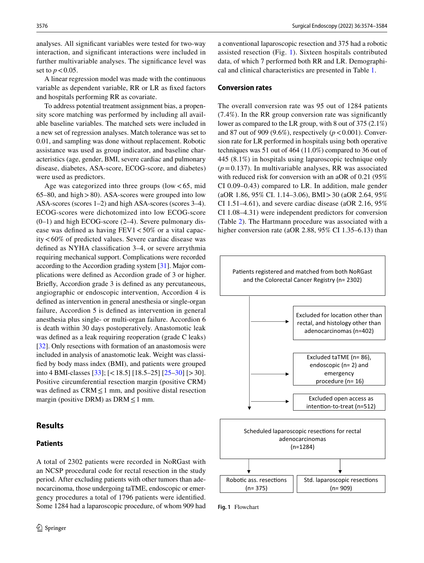analyses. All signifcant variables were tested for two-way interaction, and signifcant interactions were included in further multivariable analyses. The signifcance level was set to  $p < 0.05$ .

A linear regression model was made with the continuous variable as dependent variable, RR or LR as fxed factors and hospitals performing RR as covariate.

To address potential treatment assignment bias, a propensity score matching was performed by including all available baseline variables. The matched sets were included in a new set of regression analyses. Match tolerance was set to 0.01, and sampling was done without replacement. Robotic assistance was used as group indicator, and baseline characteristics (age, gender, BMI, severe cardiac and pulmonary disease, diabetes, ASA-score, ECOG-score, and diabetes) were used as predictors.

Age was categorized into three groups (low  $< 65$ , mid 65–80, and high>80). ASA-scores were grouped into low ASA-scores (scores 1–2) and high ASA-scores (scores 3–4). ECOG-scores were dichotomized into low ECOG-score (0–1) and high ECOG-score (2–4). Severe pulmonary disease was defined as having  $FEV1 < 50\%$  or a vital capacity<60% of predicted values. Severe cardiac disease was defned as NYHA classifcation 3–4, or severe arrythmia requiring mechanical support. Complications were recorded according to the Accordion grading system [[31\]](#page-9-22). Major complications were defned as Accordion grade of 3 or higher. Briefy, Accordion grade 3 is defned as any percutaneous, angiographic or endoscopic intervention, Accordion 4 is defned as intervention in general anesthesia or single-organ failure, Accordion 5 is defned as intervention in general anesthesia plus single- or multi-organ failure. Accordion 6 is death within 30 days postoperatively. Anastomotic leak was defned as a leak requiring reoperation (grade C leaks) [\[32](#page-9-23)]. Only resections with formation of an anastomosis were included in analysis of anastomotic leak. Weight was classifed by body mass index (BMI), and patients were grouped into 4 BMI-classes [\[33](#page-9-24)]; [<18.5] [18.5–25] [[25–](#page-9-16)[30](#page-9-21)] [>30]. Positive circumferential resection margin (positive CRM) was defined as  $CRM \leq 1$  mm, and positive distal resection margin (positive DRM) as DRM  $\leq$  1 mm.

## **Results**

## **Patients**

A total of 2302 patients were recorded in NoRGast with an NCSP procedural code for rectal resection in the study period. After excluding patients with other tumors than adenocarcinoma, those undergoing taTME, endoscopic or emergency procedures a total of 1796 patients were identifed. Some 1284 had a laparoscopic procedure, of whom 909 had a conventional laparoscopic resection and 375 had a robotic assisted resection (Fig. [1\)](#page-2-0). Sixteen hospitals contributed data, of which 7 performed both RR and LR. Demographical and clinical characteristics are presented in Table [1](#page-3-0).

#### **Conversion rates**

The overall conversion rate was 95 out of 1284 patients (7.4%). In the RR group conversion rate was signifcantly lower as compared to the LR group, with 8 out of 375 (2.1%) and 87 out of 909 (9.6%), respectively (*p*<0.001). Conversion rate for LR performed in hospitals using both operative techniques was 51 out of 464 (11.0%) compared to 36 out of 445 (8.1%) in hospitals using laparoscopic technique only  $(p=0.137)$ . In multivariable analyses, RR was associated with reduced risk for conversion with an aOR of 0.21 (95% CI 0.09–0.43) compared to LR. In addition, male gender (aOR 1.86, 95% CI. 1.14–3.06), BMI>30 (aOR 2.64, 95% CI 1.51–4.61), and severe cardiac disease (aOR 2.16, 95% CI 1.08–4.31) were independent predictors for conversion (Table [2](#page-4-0)). The Hartmann procedure was associated with a higher conversion rate (aOR 2.88, 95% CI 1.35–6.13) than



<span id="page-2-0"></span>**Fig. 1** Flowchart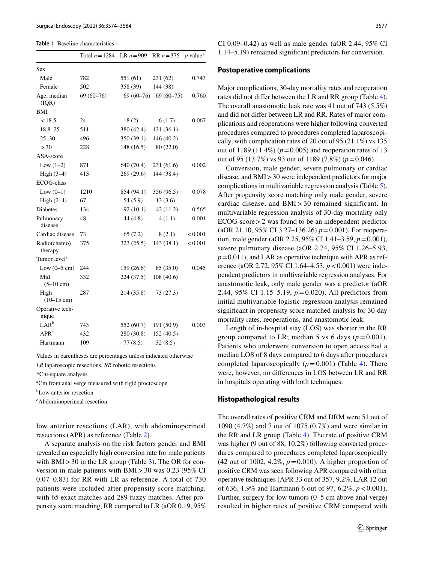#### <span id="page-3-0"></span>**Table 1** Baseline characteristics

|                              | Total $n = 1284$ | LR $n = 909$ | $RR n = 375$ | $p$ value* |
|------------------------------|------------------|--------------|--------------|------------|
| <b>Sex</b>                   |                  |              |              |            |
| Male                         | 782              | 551 (61)     | 231(62)      | 0.743      |
| Female                       | 502              | 358 (39)     | 144 (38)     |            |
| Age, median<br>(IQR)         | $69(60-76)$      | 69 (60–76)   | $69(60-75)$  | 0.760      |
| BMI                          |                  |              |              |            |
| < 18.5                       | 24               | 18(2)        | 6(1.7)       | 0.067      |
| $18.8 - 25$                  | 511              | 380 (42.4)   | 131 (36.1)   |            |
| $25 - 30$                    | 496              | 350(39.1)    | 146 (40.2)   |            |
| >30                          | 228              | 148(16.5)    | 80 (22.0)    |            |
| ASA-score                    |                  |              |              |            |
| Low $(1-2)$                  | 871              | 640 (70.4)   | 231 (61.6)   | 0.002      |
| High $(3-4)$                 | 413              | 269(29.6)    | 144 (38.4)   |            |
| <b>ECOG-class</b>            |                  |              |              |            |
| Low $(0-1)$                  | 1210             | 854 (94.1)   | 356 (96.5)   | 0.078      |
| High $(2-4)$                 | 67               | 54 (5.9)     | 13(3.6)      |            |
| <b>Diabetes</b>              | 134              | 92(10.1)     | 42(11.2)     | 0.565      |
| Pulmonary<br>disease         | 48               | 44 (4.8)     | 4(1.1)       | 0.001      |
| Cardiac disease              | 73               | 65(7.2)      | 8(2.1)       | < 0.001    |
| Radio(chemo)<br>therapy      | 375              | 323(25.5)    | 143(38.1)    | < 0.001    |
| Tumor level <sup>a</sup>     |                  |              |              |            |
| Low $(0-5 \text{ cm})$       | 244              | 159(26.6)    | 85 (35.0)    | 0.045      |
| Mid<br>$(5-10 \text{ cm})$   | 332              | 224(37.5)    | 108 (40.6)   |            |
| High<br>$(10-15 \text{ cm})$ | 287              | 214 (35.8)   | 73 (27.3)    |            |
| Operative tech-<br>nique     |                  |              |              |            |
| LAR <sup>b</sup>             | 743              | 552 (60.7)   | 191 (50.9)   | 0.003      |
| APR <sup>c</sup>             | 432              | 280 (30.8)   | 152 (40.5)   |            |
| Hartmann                     | 109              | 77(8.5)      | 32(8.5)      |            |

Values in parentheses are percentages unless indicated otherwise

*LR* laparoscopic resections, *RR* robotic resections

\*Chi-square analyses

a Cm from anal verge measured with rigid proctoscope

b Low anterior resection

c Abdominoperineal resection

low anterior resections (LAR), with abdominoperineal resections (APR) as reference (Table [2\)](#page-4-0).

A separate analysis on the risk factors gender and BMI revealed an especially high conversion rate for male patients with  $BMI > 30$  in the LR group (Table [3\)](#page-5-0). The OR for conversion in male patients with BMI>30 was 0.23 (95% CI 0.07–0.83) for RR with LR as reference. A total of 730 patients were included after propensity score matching, with 65 exact matches and 289 fuzzy matches. After propensity score matching, RR compared to LR (aOR 0.19, 95%

CI 0.09–0.42) as well as male gender (aOR 2.44, 95% CI 1.14–5.19) remained signifcant predictors for conversion.

#### **Postoperative complications**

Major complications, 30-day mortality rates and reoperation rates did not difer between the LR and RR group (Table [4](#page-5-1)). The overall anastomotic leak rate was 41 out of 743 (5.5%) and did not difer between LR and RR. Rates of major complications and reoperations were higher following converted procedures compared to procedures completed laparoscopically, with complication rates of 20 out of 95 (21.1%) vs 135 out of 1189 (11.4%) ( $p = 0.005$ ) and reoperation rates of 13 out of 95 (13.7%) vs 93 out of 1189 (7.8%) (*p*=0.046).

Conversion, male gender, severe pulmonary or cardiac disease, and BMI>30 were independent predictors for major complications in multivariable regression analysis (Table [5](#page-6-0)). After propensity score matching only male gender, severe cardiac disease, and BMI> 30 remained significant. In multivariable regression analysis of 30-day mortality only ECOG-score>2 was found to be an independent predictor (aOR 21.10, 95% CI 3.27–136.26) *p*=0.001). For reoperation, male gender (aOR 2.25, 95% CI 1.41–3.59, *p*=0.001), severe pulmonary disease (aOR 2.74, 95% CI 1.26–5.93,  $p=0.011$ ), and LAR as operative technique with APR as reference (aOR 2.72, 95% CI 1.64–4.53, *p*<0.001) were independent predictors in multivariable regression analyses. For anastomotic leak, only male gender was a predictor (aOR 2.44, 95% CI 1.15–5.19, *p*=0.020). All predictors from initial multivariable logistic regression analysis remained signifcant in propensity score matched analysis for 30-day mortality rates, reoperations, and anastomotic leak.

Length of in-hospital stay (LOS) was shorter in the RR group compared to LR; median 5 vs 6 days  $(p=0.001)$ . Patients who underwent conversion to open access had a median LOS of 8 days compared to 6 days after procedures completed laparoscopically  $(p=0.001)$  (Table [4](#page-5-1)). There were, however, no diferences in LOS between LR and RR in hospitals operating with both techniques.

#### **Histopathological results**

The overall rates of positive CRM and DRM were 51 out of 1090 (4.7%) and 7 out of 1075 (0.7%) and were similar in the RR and LR group (Table [4\)](#page-5-1). The rate of positive CRM was higher (9 out of 88, 10.2%) following converted procedures compared to procedures completed laparoscopically (42 out of 1002, 4.2%, *p*=0.010). A higher proportion of positive CRM was seen following APR compared with other operative techniques (APR 33 out of 357, 9.2%, LAR 12 out of 636, 1.9% and Hartmann 6 out of 97, 6.2%, *p*<0.001). Further, surgery for low tumors (0–5 cm above anal verge) resulted in higher rates of positive CRM compared with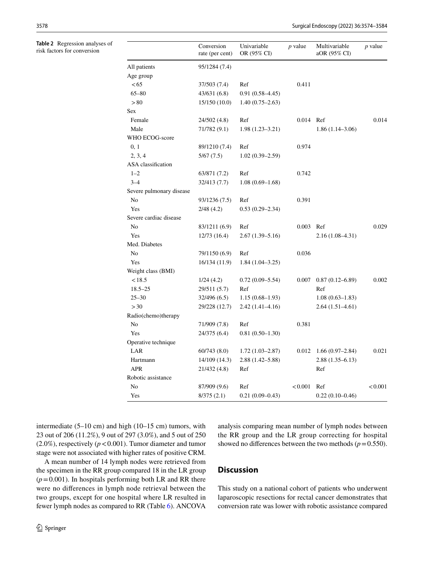<span id="page-4-0"></span>**Table 2** Regression analyses of risk factors for conversion

|                          | Conversion<br>rate (per cent) | Univariable<br>OR (95% CI) | <i>p</i> value | Multivariable<br>aOR (95% CI) | $p$ value |
|--------------------------|-------------------------------|----------------------------|----------------|-------------------------------|-----------|
| All patients             | 95/1284 (7.4)                 |                            |                |                               |           |
| Age group                |                               |                            |                |                               |           |
| < 65                     | 37/503 (7.4)                  | Ref                        | 0.411          |                               |           |
| $65 - 80$                | 43/631 (6.8)                  | $0.91(0.58 - 4.45)$        |                |                               |           |
| > 80                     | 15/150 (10.0)                 | $1.40(0.75-2.63)$          |                |                               |           |
| Sex                      |                               |                            |                |                               |           |
| Female                   | 24/502 (4.8)                  | Ref                        | 0.014          | Ref                           | 0.014     |
| Male                     | 71/782 (9.1)                  | $1.98(1.23 - 3.21)$        |                | $1.86(1.14-3.06)$             |           |
| WHO ECOG-score           |                               |                            |                |                               |           |
| 0, 1                     | 89/1210 (7.4)                 | Ref                        | 0.974          |                               |           |
| 2, 3, 4                  | 5/67(7.5)                     | $1.02(0.39 - 2.59)$        |                |                               |           |
| ASA classification       |                               |                            |                |                               |           |
| $1 - 2$                  | 63/871 (7.2)                  | Ref                        | 0.742          |                               |           |
| $3 - 4$                  | 32/413 (7.7)                  | $1.08(0.69 - 1.68)$        |                |                               |           |
| Severe pulmonary disease |                               |                            |                |                               |           |
| No                       | 93/1236 (7.5)                 | Ref                        | 0.391          |                               |           |
| Yes                      | 2/48 (4.2)                    | $0.53(0.29 - 2.34)$        |                |                               |           |
| Severe cardiac disease   |                               |                            |                |                               |           |
| No                       | 83/1211 (6.9)                 | Ref                        | 0.003          | Ref                           | 0.029     |
| Yes                      | 12/73(16.4)                   | $2.67(1.39 - 5.16)$        |                | 2.16 (1.08–4.31)              |           |
| Med. Diabetes            |                               |                            |                |                               |           |
| No                       | 79/1150 (6.9)                 | Ref                        | 0.036          |                               |           |
| Yes                      | 16/134 (11.9)                 | $1.84(1.04-3.25)$          |                |                               |           |
| Weight class (BMI)       |                               |                            |                |                               |           |
| < 18.5                   | 1/24(4.2)                     | $0.72(0.09 - 5.54)$        | 0.007          | $0.87(0.12 - 6.89)$           | 0.002     |
| $18.5 - 25$              | 29/511 (5.7)                  | Ref                        |                | Ref                           |           |
| $25 - 30$                | 32/496 (6.5)                  | $1.15(0.68 - 1.93)$        |                | $1.08(0.63 - 1.83)$           |           |
| > 30                     | 29/228 (12.7)                 | $2.42(1.41-4.16)$          |                | $2.64(1.51-4.61)$             |           |
| Radio(chemo)therapy      |                               |                            |                |                               |           |
| No                       | 71/909 (7.8)                  | Ref                        | 0.381          |                               |           |
| Yes                      | 24/375 (6.4)                  | $0.81(0.50-1.30)$          |                |                               |           |
| Operative technique      |                               |                            |                |                               |           |
| LAR                      | 60/743(8.0)                   | $1.72(1.03 - 2.87)$        | 0.012          | $1.66(0.97-2.84)$             | 0.021     |
| Hartmann                 | 14/109 (14.3)                 | $2.88(1.42 - 5.88)$        |                | $2.88(1.35 - 6.13)$           |           |
| <b>APR</b>               | 21/432 (4.8)                  | Ref                        |                | Ref                           |           |
| Robotic assistance       |                               |                            |                |                               |           |
| No                       | 87/909 (9.6)                  | Ref                        | < 0.001        | Ref                           | < 0.001   |
| Yes                      | 8/375(2.1)                    | $0.21(0.09 - 0.43)$        |                | $0.22(0.10-0.46)$             |           |
|                          |                               |                            |                |                               |           |

intermediate (5–10 cm) and high (10–15 cm) tumors, with 23 out of 206 (11.2%), 9 out of 297 (3.0%), and 5 out of 250  $(2.0\%)$ , respectively  $(p < 0.001)$ . Tumor diameter and tumor stage were not associated with higher rates of positive CRM.

A mean number of 14 lymph nodes were retrieved from the specimen in the RR group compared 18 in the LR group  $(p=0.001)$ . In hospitals performing both LR and RR there were no diferences in lymph node retrieval between the two groups, except for one hospital where LR resulted in fewer lymph nodes as compared to RR (Table [6\)](#page-7-0). ANCOVA analysis comparing mean number of lymph nodes between the RR group and the LR group correcting for hospital showed no differences between the two methods  $(p=0.550)$ .

# **Discussion**

This study on a national cohort of patients who underwent laparoscopic resections for rectal cancer demonstrates that conversion rate was lower with robotic assistance compared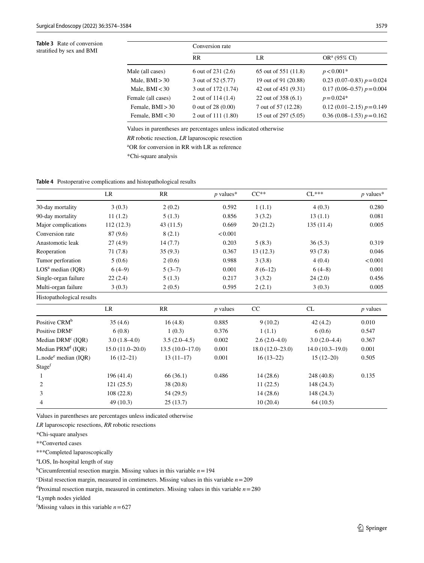<span id="page-5-0"></span>**Table 3** Rate of conversion stratifed by sex and BMI

|                    | Conversion rate     |                      |                              |  |
|--------------------|---------------------|----------------------|------------------------------|--|
|                    | <b>RR</b>           | LR                   | $OR^a (95\% CI)$             |  |
| Male (all cases)   | 6 out of $231(2.6)$ | 65 out of 551 (11.8) | $p < 0.001*$                 |  |
| Male, $BMI > 30$   | 3 out of 52 (5.77)  | 19 out of 91 (20.88) | 0.23 (0.07–0.83) $p = 0.024$ |  |
| Male, $BMI < 30$   | 3 out of 172 (1.74) | 42 out of 451 (9.31) | $0.17(0.06-0.57) p = 0.004$  |  |
| Female (all cases) | 2 out of $114(1.4)$ | 22 out of 358 (6.1)  | $p = 0.024*$                 |  |
| Female, $BMI > 30$ | 0 out of $28(0.00)$ | 7 out of 57 (12.28)  | 0.12 (0.01–2.15) $p = 0.149$ |  |
| Female, $BMI < 30$ | 2 out of 111 (1.80) | 15 out of 297 (5.05) | $0.36(0.08-1.53) p=0.162$    |  |

Values in parentheses are percentages unless indicated otherwise

*RR* robotic resection, *LR* laparoscopic resection

a OR for conversion in RR with LR as reference

\*Chi-square analysis

<span id="page-5-1"></span>**Table 4** Postoperative complications and histopathological results

|                               | LR        | RR       | $p$ values* | $CC**$    | $CL***$    | $p$ values* |
|-------------------------------|-----------|----------|-------------|-----------|------------|-------------|
| 30-day mortality              | 3(0.3)    | 2(0.2)   | 0.592       | 1(1.1)    | 4(0.3)     | 0.280       |
| 90-day mortality              | 11(1.2)   | 5(1.3)   | 0.856       | 3(3.2)    | 13(1.1)    | 0.081       |
| Major complications           | 112(12.3) | 43(11.5) | 0.669       | 20(21.2)  | 135 (11.4) | 0.005       |
| Conversion rate               | 87 (9.6)  | 8(2.1)   | < 0.001     |           |            |             |
| Anastomotic leak              | 27(4.9)   | 14(7.7)  | 0.203       | 5(8.3)    | 36(5.3)    | 0.319       |
| Reoperation                   | 71 (7.8)  | 35(9.3)  | 0.367       | 13(12.3)  | 93 (7.8)   | 0.046       |
| Tumor perforation             | 5(0.6)    | 2(0.6)   | 0.988       | 3(3.8)    | 4(0.4)     | < 0.001     |
| LOS <sup>a</sup> median (IOR) | $6(4-9)$  | $5(3-7)$ | 0.001       | $8(6-12)$ | $6(4-8)$   | 0.001       |
| Single-organ failure          | 22(2.4)   | 5(1.3)   | 0.217       | 3(3.2)    | 24(2.0)    | 0.456       |
| Multi-organ failure           | 3(0.3)    | 2(0.5)   | 0.595       | 2(2.1)    | 3(0.3)     | 0.005       |
| Histopathological results     |           |          |             |           |            |             |

|                                      | LR                | RR                | <i>p</i> values | CC                | CL                | $p$ values |
|--------------------------------------|-------------------|-------------------|-----------------|-------------------|-------------------|------------|
| Positive CRM <sup>b</sup>            | 35(4.6)           | 16(4.8)           | 0.885           | 9(10.2)           | 42(4.2)           | 0.010      |
| Positive DRM <sup>c</sup>            | 6(0.8)            | 1(0.3)            | 0.376           | 1(1.1)            | 6(0.6)            | 0.547      |
| Median $DRMc (IOR)$                  | $3.0(1.8-4.0)$    | $3.5(2.0-4.5)$    | 0.002           | $2.6(2.0-4.0)$    | $3.0(2.0-4.4)$    | 0.367      |
| Median $PRMd (IOR)$                  | $15.0(11.0-20.0)$ | $13.5(10.0-17.0)$ | 0.001           | $18.0(12.0-23.0)$ | $14.0(10.3-19.0)$ | 0.001      |
| $L$ , node <sup>e</sup> median (IOR) | $16(12-21)$       | $13(11-17)$       | 0.001           | $16(13-22)$       | $15(12-20)$       | 0.505      |
| Stage <sup>f</sup>                   |                   |                   |                 |                   |                   |            |
|                                      | 196 (41.4)        | 66(36.1)          | 0.486           | 14(28.6)          | 248 (40.8)        | 0.135      |
| 2                                    | 121(25.5)         | 38(20.8)          |                 | 11(22.5)          | 148 (24.3)        |            |
| 3                                    | 108(22.8)         | 54 (29.5)         |                 | 14(28.6)          | 148 (24.3)        |            |
| 4                                    | 49(10.3)          | 25(13.7)          |                 | 10(20.4)          | 64(10.5)          |            |

Values in parentheses are percentages unless indicated otherwise

*LR* laparoscopic resections, *RR* robotic resections

\*Chi-square analyses

\*\*Converted cases

\*\*\*Completed laparoscopically

a LOS, In-hospital length of stay

b Circumferential resection margin. Missing values in this variable *n*=194

 $\text{c}^{\text{c}}$  Distal resection margin, measured in centimeters. Missing values in this variable  $n=209$ 

d Proximal resection margin, measured in centimeters. Missing values in this variable *n*=280

e Lymph nodes yielded

<sup>f</sup>Missing values in this variable  $n = 627$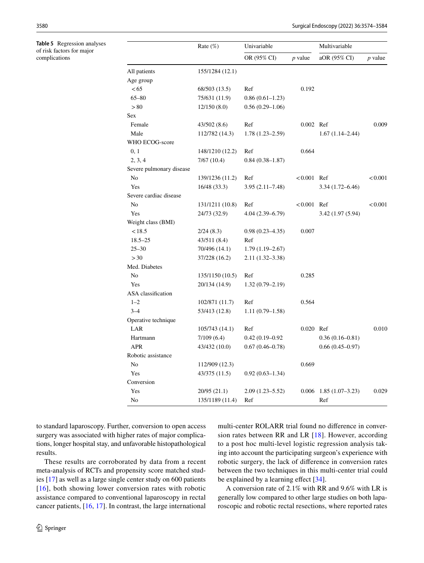<span id="page-6-0"></span>**Table 5** Regression analyses of risk factors for major complications

|                          | Rate $(\%)$<br>Univariable |                     |               | Multivariable       |           |
|--------------------------|----------------------------|---------------------|---------------|---------------------|-----------|
|                          |                            | OR (95% CI)         | $p$ value     | aOR (95% CI)        | $p$ value |
| All patients             | 155/1284 (12.1)            |                     |               |                     |           |
| Age group                |                            |                     |               |                     |           |
| <65                      | 68/503 (13.5)              | Ref                 | 0.192         |                     |           |
| $65 - 80$                | 75/631 (11.9)              | $0.86(0.61-1.23)$   |               |                     |           |
| > 80                     | 12/150(8.0)                | $0.56(0.29-1.06)$   |               |                     |           |
| Sex                      |                            |                     |               |                     |           |
| Female                   | 43/502 (8.6)               | Ref                 | 0.002 Ref     |                     | 0.009     |
| Male                     | 112/782 (14.3)             | $1.78(1.23 - 2.59)$ |               | $1.67(1.14 - 2.44)$ |           |
| WHO ECOG-score           |                            |                     |               |                     |           |
| 0, 1                     | 148/1210 (12.2)            | Ref                 | 0.664         |                     |           |
| 2, 3, 4                  | 7/67(10.4)                 | $0.84(0.38 - 1.87)$ |               |                     |           |
| Severe pulmonary disease |                            |                     |               |                     |           |
| No                       | 139/1236 (11.2)            | Ref                 | $< 0.001$ Ref |                     | < 0.001   |
| Yes                      | 16/48 (33.3)               | $3.95(2.11 - 7.48)$ |               | $3.34(1.72 - 6.46)$ |           |
| Severe cardiac disease   |                            |                     |               |                     |           |
| No                       | 131/1211 (10.8)            | Ref                 | < 0.001       | Ref                 | < 0.001   |
| Yes                      | 24/73 (32.9)               | $4.04(2.39 - 6.79)$ |               | 3.42 (1.97 (5.94)   |           |
| Weight class (BMI)       |                            |                     |               |                     |           |
| < 18.5                   | 2/24(8.3)                  | $0.98(0.23 - 4.35)$ | 0.007         |                     |           |
| $18.5 - 25$              | 43/511 (8.4)               | Ref                 |               |                     |           |
| $25 - 30$                | 70/496 (14.1)              | $1.79(1.19-2.67)$   |               |                     |           |
| > 30                     | 37/228 (16.2)              | 2.11 (1.32–3.38)    |               |                     |           |
| Med. Diabetes            |                            |                     |               |                     |           |
| No                       | 135/1150 (10.5)            | Ref                 | 0.285         |                     |           |
| Yes                      | 20/134 (14.9)              | $1.32(0.79 - 2.19)$ |               |                     |           |
| ASA classification       |                            |                     |               |                     |           |
| $1 - 2$                  | 102/871 (11.7)             | Ref                 | 0.564         |                     |           |
| $3 - 4$                  | 53/413 (12.8)              | $1.11(0.79-1.58)$   |               |                     |           |
| Operative technique      |                            |                     |               |                     |           |
| LAR                      | 105/743 (14.1)             | Ref                 | 0.020 Ref     |                     | 0.010     |
| Hartmann                 | 7/109(6.4)                 | $0.42(0.19 - 0.92)$ |               | $0.36(0.16 - 0.81)$ |           |
| <b>APR</b>               | 43/432 (10.0)              | $0.67(0.46 - 0.78)$ |               | $0.66(0.45-0.97)$   |           |
| Robotic assistance       |                            |                     |               |                     |           |
| No                       | 112/909 (12.3)             |                     | 0.669         |                     |           |
| Yes                      | 43/375 (11.5)              | $0.92(0.63 - 1.34)$ |               |                     |           |
| Conversion               |                            |                     |               |                     |           |
| Yes                      | 20/95 (21.1)               | $2.09(1.23 - 5.52)$ | 0.006         | $1.85(1.07-3.23)$   | 0.029     |
| No                       | 135/1189 (11.4)            | Ref                 |               | Ref                 |           |

to standard laparoscopy. Further, conversion to open access surgery was associated with higher rates of major complications, longer hospital stay, and unfavorable histopathological results.

These results are corroborated by data from a recent meta-analysis of RCTs and propensity score matched studies [[17\]](#page-9-25) as well as a large single center study on 600 patients [[16](#page-9-11)], both showing lower conversion rates with robotic assistance compared to conventional laparoscopy in rectal cancer patients, [[16,](#page-9-11) [17\]](#page-9-25). In contrast, the large international multi-center ROLARR trial found no diference in conversion rates between RR and LR [\[18\]](#page-9-8). However, according to a post hoc multi-level logistic regression analysis taking into account the participating surgeon's experience with robotic surgery, the lack of diference in conversion rates between the two techniques in this multi-center trial could be explained by a learning effect [[34](#page-9-26)].

A conversion rate of 2.1% with RR and 9.6% with LR is generally low compared to other large studies on both laparoscopic and robotic rectal resections, where reported rates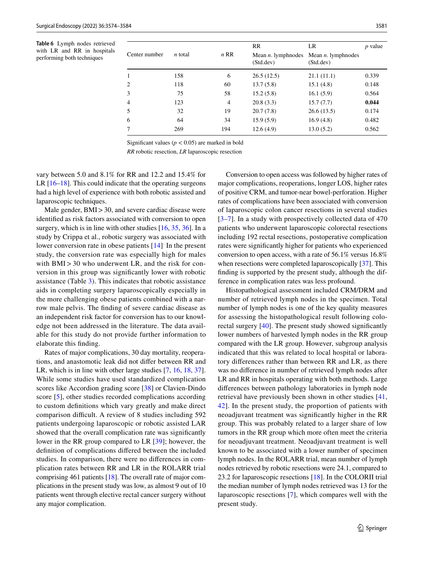<span id="page-7-0"></span>**Table 6** Lymph nodes retrieved with LR and RR in hospitals performing both techniques

|                |                |                | <b>RR</b>                          | LR                                 | <i>p</i> value |
|----------------|----------------|----------------|------------------------------------|------------------------------------|----------------|
| Center number  | <i>n</i> total | $n$ RR         | Mean $n$ . lymphnodes<br>(Std.dev) | Mean $n$ . lymphnodes<br>(Std.dev) |                |
| 1              | 158            | 6              | 26.5(12.5)                         | 21.1(11.1)                         | 0.339          |
| $\overline{2}$ | 118            | 60             | 13.7(5.8)                          | 15.1(4.8)                          | 0.148          |
| 3              | 75             | 58             | 15.2(5.8)                          | 16.1(5.9)                          | 0.564          |
| $\overline{4}$ | 123            | $\overline{4}$ | 20.8(3.3)                          | 15.7(7.7)                          | 0.044          |
| 5              | 32             | 19             | 20.7(7.8)                          | 26.6(13.5)                         | 0.174          |
| 6              | 64             | 34             | 15.9(5.9)                          | 16.9(4.8)                          | 0.482          |
| 7              | 269            | 194            | 12.6(4.9)                          | 13.0(5.2)                          | 0.562          |

Significant values ( $p < 0.05$ ) are marked in bold

*RR* robotic resection, *LR* laparoscopic resection

vary between 5.0 and 8.1% for RR and 12.2 and 15.4% for LR [\[16–](#page-9-11)[18\]](#page-9-8). This could indicate that the operating surgeons had a high level of experience with both robotic assisted and laparoscopic techniques.

Male gender, BMI > 30, and severe cardiac disease were identifed as risk factors associated with conversion to open surgery, which is in line with other studies [[16,](#page-9-11) [35,](#page-9-27) [36\]](#page-9-28). In a study by Crippa et al., robotic surgery was associated with lower conversion rate in obese patients [[14\]](#page-9-6) In the present study, the conversion rate was especially high for males with BMI > 30 who underwent LR, and the risk for conversion in this group was signifcantly lower with robotic assistance (Table [3](#page-5-0)). This indicates that robotic assistance aids in completing surgery laparoscopically especially in the more challenging obese patients combined with a narrow male pelvis. The fnding of severe cardiac disease as an independent risk factor for conversion has to our knowledge not been addressed in the literature. The data available for this study do not provide further information to elaborate this fnding.

Rates of major complications, 30 day mortality, reoperations, and anastomotic leak did not difer between RR and LR, which is in line with other large studies [[7](#page-9-0), [16](#page-9-11), [18](#page-9-8), [37](#page-9-29)]. While some studies have used standardized complication scores like Accordion grading score [\[38](#page-9-30)] or Clavien-Dindo score [[5](#page-8-3)], other studies recorded complications according to custom defnitions which vary greatly and make direct comparison difficult. A review of 8 studies including 592 patients undergoing laparoscopic or robotic assisted LAR showed that the overall complication rate was signifcantly lower in the RR group compared to LR [\[39](#page-9-31)]; however, the defnition of complications difered between the included studies. In comparison, there were no diferences in complication rates between RR and LR in the ROLARR trial comprising 461 patients [\[18](#page-9-8)]. The overall rate of major complications in the present study was low, as almost 9 out of 10 patients went through elective rectal cancer surgery without any major complication.

Conversion to open access was followed by higher rates of major complications, reoperations, longer LOS, higher rates of positive CRM, and tumor-near bowel-perforation. Higher rates of complications have been associated with conversion of laparoscopic colon cancer resections in several studies [[3–](#page-8-2)[7\]](#page-9-0). In a study with prospectively collected data of 470 patients who underwent laparoscopic colorectal resections including 192 rectal resections, postoperative complication rates were signifcantly higher for patients who experienced conversion to open access, with a rate of 56.1% versus 16.8% when resections were completed laparoscopically [\[37](#page-9-29)]. This fnding is supported by the present study, although the difference in complication rates was less profound.

Histopathological assessment included CRM/DRM and number of retrieved lymph nodes in the specimen. Total number of lymph nodes is one of the key quality measures for assessing the histopathological result following colorectal surgery [[40\]](#page-9-32). The present study showed signifcantly lower numbers of harvested lymph nodes in the RR group compared with the LR group. However, subgroup analysis indicated that this was related to local hospital or laboratory diferences rather than between RR and LR, as there was no diference in number of retrieved lymph nodes after LR and RR in hospitals operating with both methods. Large diferences between pathology laboratories in lymph node retrieval have previously been shown in other studies [[41,](#page-9-33) [42](#page-10-0)]. In the present study, the proportion of patients with neoadjuvant treatment was signifcantly higher in the RR group. This was probably related to a larger share of low tumors in the RR group which more often meet the criteria for neoadjuvant treatment. Neoadjuvant treatment is well known to be associated with a lower number of specimen lymph nodes. In the ROLARR trial, mean number of lymph nodes retrieved by robotic resections were 24.1, compared to 23.2 for laparoscopic resections [\[18](#page-9-8)]. In the COLORII trial the median number of lymph nodes retrieved was 13 for the laparoscopic resections [\[7\]](#page-9-0), which compares well with the present study.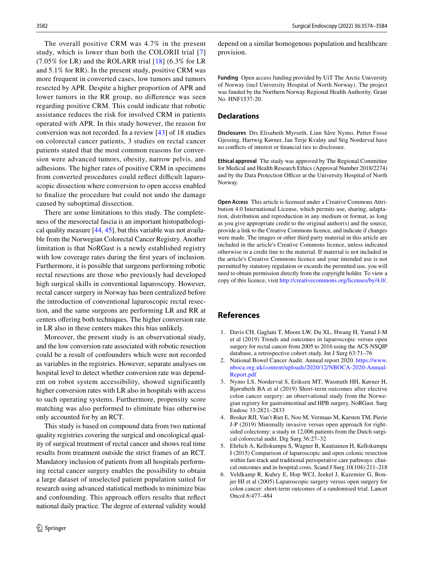The overall positive CRM was 4.7% in the present study, which is lower than both the COLORII trial [\[7\]](#page-9-0) (7.05% for LR) and the ROLARR trial [[18](#page-9-8)] (6.3% for LR and 5.1% for RR). In the present study, positive CRM was more frequent in converted cases, low tumors and tumors resected by APR. Despite a higher proportion of APR and lower tumors in the RR group, no diference was seen regarding positive CRM. This could indicate that robotic assistance reduces the risk for involved CRM in patients operated with APR. In this study however, the reason for conversion was not recorded. In a review [[43\]](#page-10-1) of 18 studies on colorectal cancer patients, 3 studies on rectal cancer patients stated that the most common reasons for conversion were advanced tumors, obesity, narrow pelvis, and adhesions. The higher rates of positive CRM in specimens from converted procedures could reflect difficult laparoscopic dissection where conversion to open access enabled to fnalize the procedure but could not undo the damage caused by suboptimal dissection.

There are some limitations to this study. The completeness of the mesorectal fascia is an important histopathological quality measure [[44,](#page-10-2) [45](#page-10-3)], but this variable was not available from the Norwegian Colorectal Cancer Registry. Another limitation is that NoRGast is a newly established registry with low coverage rates during the first years of inclusion. Furthermore, it is possible that surgeons performing robotic rectal resections are those who previously had developed high surgical skills in conventional laparoscopy. However, rectal cancer surgery in Norway has been centralized before the introduction of conventional laparoscopic rectal resection, and the same surgeons are performing LR and RR at centers offering both techniques. The higher conversion rate in LR also in these centers makes this bias unlikely.

Moreover, the present study is an observational study, and the low conversion rate associated with robotic resection could be a result of confounders which were not recorded as variables in the registries. However, separate analyses on hospital level to detect whether conversion rate was dependent on robot system accessibility, showed significantly higher conversion rates with LR also in hospitals with access to such operating systems. Furthermore, propensity score matching was also performed to eliminate bias otherwise only accounted for by an RCT.

This study is based on compound data from two national quality registries covering the surgical and oncological quality of surgical treatment of rectal cancer and shows real time results from treatment outside the strict frames of an RCT. Mandatory inclusion of patients from all hospitals performing rectal cancer surgery enables the possibility to obtain a large dataset of unselected patient population suited for research using advanced statistical methods to minimize bias and confounding. This approach offers results that reflect national daily practice. The degree of external validity would depend on a similar homogenous population and healthcare provision.

**Funding** Open access funding provided by UiT The Arctic University of Norway (incl University Hospital of North Norway). The project was funded by the Northern Norway Regional Health Authority. Grant No. HNF1537-20.

## **Declarations**

**Disclosures** Drs Elisabeth Myrseth, Linn Såve Nymo, Petter Fosse Gjessing, Hartwig Kørner, Jan Terje Kvaløy and Stig Norderval have no conficts of interest or fnancial ties to disclosure.

**Ethical approval** The study was approved by The Regional Committee for Medical and Health Research Ethics (Approval Number 2018/2274) and by the Data Protection Officer at the University Hospital of North Norway.

**Open Access** This article is licensed under a Creative Commons Attribution 4.0 International License, which permits use, sharing, adaptation, distribution and reproduction in any medium or format, as long as you give appropriate credit to the original author(s) and the source, provide a link to the Creative Commons licence, and indicate if changes were made. The images or other third party material in this article are included in the article's Creative Commons licence, unless indicated otherwise in a credit line to the material. If material is not included in the article's Creative Commons licence and your intended use is not permitted by statutory regulation or exceeds the permitted use, you will need to obtain permission directly from the copyright holder. To view a copy of this licence, visit<http://creativecommons.org/licenses/by/4.0/>.

# **References**

- <span id="page-8-0"></span>1. Davis CH, Gaglani T, Moore LW, Du XL, Hwang H, Yamal J-M et al (2019) Trends and outcomes in laparoscopic versus open surgery for rectal cancer from 2005 to 2016 using the ACS-NSQIP database, a retrospective cohort study. Int J Surg 63:71–76
- <span id="page-8-1"></span>2. National Bowel Cancer Audit. Annual report 2020. [https://www.](https://www.nboca.org.uk/content/uploads/2020/12/NBOCA-2020-Annual-Report.pdf) [nboca.org.uk/content/uploads/2020/12/NBOCA-2020-Annual-](https://www.nboca.org.uk/content/uploads/2020/12/NBOCA-2020-Annual-Report.pdf)[Report.pdf](https://www.nboca.org.uk/content/uploads/2020/12/NBOCA-2020-Annual-Report.pdf)
- <span id="page-8-2"></span>3. Nymo LS, Norderval S, Eriksen MT, Wasmuth HH, Kørner H, Bjørnbeth BA et al (2019) Short-term outcomes after elective colon cancer surgery: an observational study from the Norwegian registry for gastrointestinal and HPB surgery, NoRGast. Surg Endosc 33:2821–2833
- 4. Bosker RJI, Van't Riet E, Noo M, Vermaas M, Karsten TM, Pierie J-P (2019) Minimally invasive versus open approach for rightsided colectomy: a study in 12,006 patients from the Dutch surgical colorectal audit. Dig Surg 36:27–32
- <span id="page-8-3"></span>5. Ehrlich A, Kellokumpu S, Wagner B, Kautiainen H, Kellokumpu I (2015) Comparison of laparoscopic and open colonic resection within fast-track and traditional perioperative care pathways: clinical outcomes and in-hospital costs. Scand J Surg 10(104):211–218
- 6. Veldkamp R, Kuhry E, Hop WCJ, Jeekel J, Kazemier G, Bonjer HJ et al (2005) Laparoscopic surgery versus open surgery for colon cancer: short-term outcomes of a randomised trial. Lancet Oncol 6:477–484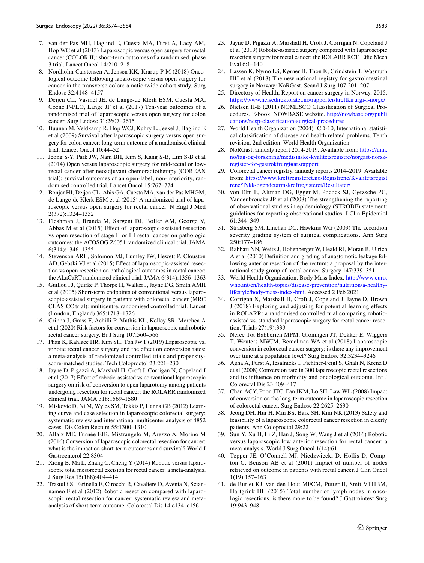- <span id="page-9-0"></span>7. van der Pas MH, Haglind E, Cuesta MA, Fürst A, Lacy AM, Hop WC et al (2013) Laparoscopic versus open surgery for rectal cancer (COLOR II): short-term outcomes of a randomised, phase 3 trial. Lancet Oncol 14:210–218
- <span id="page-9-1"></span>8. Nordholm-Carstensen A, Jensen KK, Krarup P-M (2018) Oncological outcome following laparoscopic versus open surgery for cancer in the transverse colon: a nationwide cohort study. Surg Endosc 32:4148–4157
- 9. Deijen CL, Vasmel JE, de Lange-de Klerk ESM, Cuesta MA, Coene P-PLO, Lange JF et al (2017) Ten-year outcomes of a randomised trial of laparoscopic versus open surgery for colon cancer. Surg Endosc 31:2607–2615
- <span id="page-9-2"></span>10. Buunen M, Veldkamp R, Hop WCJ, Kuhry E, Jeekel J, Haglind E et al (2009) Survival after laparoscopic surgery versus open surgery for colon cancer: long-term outcome of a randomised clinical trial. Lancet Oncol 10:44–52
- <span id="page-9-3"></span>11. Jeong S-Y, Park JW, Nam BH, Kim S, Kang S-B, Lim S-B et al (2014) Open versus laparoscopic surgery for mid-rectal or lowrectal cancer after neoadjuvant chemoradiotherapy (COREAN trial): survival outcomes of an open-label, non-inferiority, randomised controlled trial. Lancet Oncol 15:767–774
- <span id="page-9-4"></span>12. Bonjer HJ, Deijen CL, Abis GA, Cuesta MA, van der Pas MHGM, de Lange-de Klerk ESM et al (2015) A randomized trial of laparoscopic versus open surgery for rectal cancer. N Engl J Med 2(372):1324–1332
- <span id="page-9-5"></span>13. Fleshman J, Branda M, Sargent DJ, Boller AM, George V, Abbas M et al (2015) Effect of laparoscopic-assisted resection vs open resection of stage II or III rectal cancer on pathologic outcomes: the ACOSOG Z6051 randomized clinical trial. JAMA 6(314):1346–1355
- <span id="page-9-6"></span>14. Stevenson ARL, Solomon MJ, Lumley JW, Hewett P, Clouston AD, Gebski VJ et al (2015) Efect of laparoscopic-assisted resection vs open resection on pathological outcomes in rectal cancer: the ALaCaRT randomized clinical trial. JAMA 6(314):1356–1363
- <span id="page-9-7"></span>15. Guillou PJ, Quirke P, Thorpe H, Walker J, Jayne DG, Smith AMH et al (2005) Short-term endpoints of conventional versus laparoscopic-assisted surgery in patients with colorectal cancer (MRC CLASICC trial): multicentre, randomised controlled trial. Lancet (London, England) 365:1718–1726
- <span id="page-9-11"></span>16. Crippa J, Grass F, Achilli P, Mathis KL, Kelley SR, Merchea A et al (2020) Risk factors for conversion in laparoscopic and robotic rectal cancer surgery. Br J Surg 107:560–566
- <span id="page-9-25"></span>17. Phan K, Kahlaee HR, Kim SH, Toh JWT (2019) Laparoscopic vs. robotic rectal cancer surgery and the efect on conversion rates: a meta-analysis of randomized controlled trials and propensityscore-matched studies. Tech Coloproctol 23:221–230
- <span id="page-9-8"></span>18. Jayne D, Pigazzi A, Marshall H, Croft J, Corrigan N, Copeland J et al (2017) Efect of robotic-assisted vs conventional laparoscopic surgery on risk of conversion to open laparotomy among patients undergoing resection for rectal cancer: the ROLARR randomized clinical trial. JAMA 318:1569–1580
- <span id="page-9-9"></span>19. Miskovic D, Ni M, Wyles SM, Tekkis P, Hanna GB (2012) Learning curve and case selection in laparoscopic colorectal surgery: systematic review and international multicenter analysis of 4852 cases. Dis Colon Rectum 55:1300–1310
- <span id="page-9-10"></span>20. Allaix ME, Furnée EJB, Mistrangelo M, Arezzo A, Morino M (2016) Conversion of laparoscopic colorectal resection for cancer: what is the impact on short-term outcomes and survival? World J Gastroenterol 22:8304
- <span id="page-9-12"></span>21. Xiong B, Ma L, Zhang C, Cheng Y (2014) Robotic versus laparoscopic total mesorectal excision for rectal cancer: a meta-analysis. J Surg Res 15(188):404–414
- <span id="page-9-13"></span>22. Trastulli S, Farinella E, Cirocchi R, Cavaliere D, Avenia N, Sciannameo F et al (2012) Robotic resection compared with laparoscopic rectal resection for cancer: systematic review and metaanalysis of short-term outcome. Colorectal Dis 14:e134–e156
- <span id="page-9-14"></span>23. Jayne D, Pigazzi A, Marshall H, Croft J, Corrigan N, Copeland J et al (2019) Robotic-assisted surgery compared with laparoscopic resection surgery for rectal cancer: the ROLARR RCT. Effic Mech Eval 6:1–140
- <span id="page-9-15"></span>24. Lassen K, Nymo LS, Kørner H, Thon K, Grindstein T, Wasmuth HH et al (2018) The new national registry for gastrointestinal surgery in Norway: NoRGast. Scand J Surg 107:201–207
- <span id="page-9-16"></span>25. Directory of Health, Report on cancer surgery in Norway, 2015. <https://www.helsedirektoratet.no/rapporter/kreftkirurgi-i-norge/>
- <span id="page-9-17"></span>26. Nielsen H-B (2011) NOMESCO Classifcation of Surgical Procedures. E-book. NOWBASE website. [http://nowbase.org/publi](http://nowbase.org/publications/ncsp-classification-surgical-procedures) [cations/ncsp-classifcation-surgical-procedures](http://nowbase.org/publications/ncsp-classification-surgical-procedures)
- <span id="page-9-18"></span>27. World Health Organization (2004) ICD-10, International statistical classifcation of disease and health related problems. Tenth revision. 2nd edition. World Health Organization
- <span id="page-9-19"></span>28. NoRGast, annualy report 2014-2019. Available from: [https://unn.](https://unn.no/fag-og-forskning/medisinske-kvalitetsregistre/norgast-norsk-register-for-gastrokirurgi#arsrapport) [no/fag-og-forskning/medisinske-kvalitetsregistre/norgast-norsk](https://unn.no/fag-og-forskning/medisinske-kvalitetsregistre/norgast-norsk-register-for-gastrokirurgi#arsrapport)[register-for-gastrokirurgi#arsrapport](https://unn.no/fag-og-forskning/medisinske-kvalitetsregistre/norgast-norsk-register-for-gastrokirurgi#arsrapport)
- <span id="page-9-20"></span>29. Colorectal cancer registry, annualy reports 2014–2019. Available from: [https://www.kreftregisteret.no/Registrene/Kvalitetsregist](https://www.kreftregisteret.no/Registrene/Kvalitetsregistrene/Tykk-ogendetarmskreftregisteret/Resultater/) [rene/Tykk-ogendetarmskreftregisteret/Resultater/](https://www.kreftregisteret.no/Registrene/Kvalitetsregistrene/Tykk-ogendetarmskreftregisteret/Resultater/)
- <span id="page-9-21"></span>30. von Elm E, Altman DG, Egger M, Pocock SJ, Gøtzsche PC, Vandenbroucke JP et al (2008) The strengthening the reporting of observational studies in epidemiology (STROBE) statement: guidelines for reporting observational studies. J Clin Epidemiol 61:344–349
- <span id="page-9-22"></span>31. Strasberg SM, Linehan DC, Hawkins WG (2009) The accordion severity grading system of surgical complications. Ann Surg 250:177–186
- <span id="page-9-23"></span>32. Rahbari NN, Weitz J, Hohenberger W, Heald RJ, Moran B, Ulrich A et al (2010) Defnition and grading of anastomotic leakage following anterior resection of the rectum: a proposal by the international study group of rectal cancer. Surgery 147:339–351
- <span id="page-9-24"></span>33. World Health Organization, Body Mass Index. [http://www.euro.](http://www.euro.who.int/en/health-topics/disease-prevention/nutrition/a-healthy-lifestyle/body-mass-index-bmi) [who.int/en/health-topics/disease-prevention/nutrition/a-healthy](http://www.euro.who.int/en/health-topics/disease-prevention/nutrition/a-healthy-lifestyle/body-mass-index-bmi)[lifestyle/body-mass-index-bmi.](http://www.euro.who.int/en/health-topics/disease-prevention/nutrition/a-healthy-lifestyle/body-mass-index-bmi) Accessed 2 Feb 2021
- <span id="page-9-26"></span>34. Corrigan N, Marshall H, Croft J, Copeland J, Jayne D, Brown J (2018) Exploring and adjusting for potential learning efects in ROLARR: a randomised controlled trial comparing roboticassisted vs. standard laparoscopic surgery for rectal cancer resection. Trials 27(19):339
- <span id="page-9-27"></span>35. Neree Tot Babberich MPM, Groningen JT, Dekker E, Wiggers T, Wouters MWJM, Bemelman WA et al (2018) Laparoscopic conversion in colorectal cancer surgery; is there any improvement over time at a population level? Surg Endosc 32:3234–3246
- <span id="page-9-28"></span>36. Agha A, Fürst A, Iesalnieks I, Fichtner-Feigl S, Ghali N, Krenz D et al (2008) Conversion rate in 300 laparoscopic rectal resections and its infuence on morbidity and oncological outcome. Int J Colorectal Dis 23:409–417
- <span id="page-9-29"></span>37. Chan ACY, Poon JTC, Fan JKM, Lo SH, Law WL (2008) Impact of conversion on the long-term outcome in laparoscopic resection of colorectal cancer. Surg Endosc 22:2625–2630
- <span id="page-9-30"></span>38. Jeong DH, Hur H, Min BS, Baik SH, Kim NK (2013) Safety and feasibility of a laparoscopic colorectal cancer resection in elderly patients. Ann Coloproctol 29:22
- <span id="page-9-31"></span>39. Sun Y, Xu H, Li Z, Han J, Song W, Wang J et al (2016) Robotic versus laparoscopic low anterior resection for rectal cancer: a meta-analysis. World J Surg Oncol 1(14):61
- <span id="page-9-32"></span>40. Tepper JE, O'Connell MJ, Niedzwiecki D, Hollis D, Compton C, Benson AB et al (2001) Impact of number of nodes retrieved on outcome in patients with rectal cancer. J Clin Oncol 1(19):157–163
- <span id="page-9-33"></span>41. de Burlet KJ, van den Hout MFCM, Putter H, Smit VTHBM, Hartgrink HH (2015) Total number of lymph nodes in oncologic resections, is there more to be found? J Gastrointest Surg 19:943–948